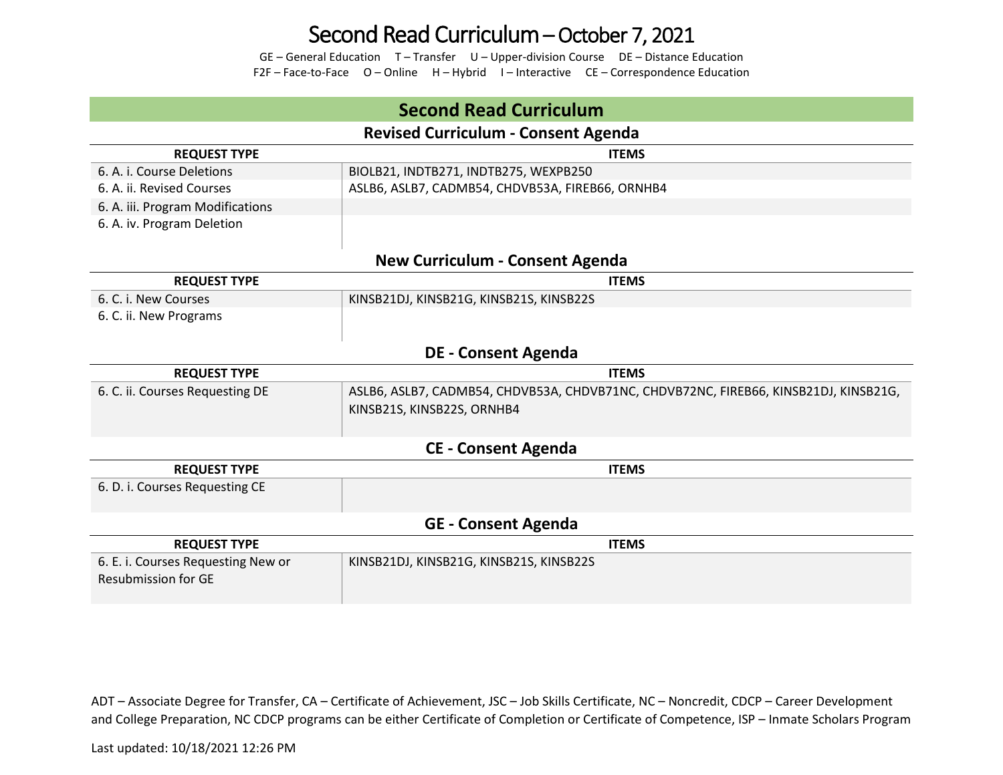## Second Read Curriculum – October 7, 2021

GE – General Education T – Transfer U – Upper-division Course DE – Distance Education F2F – Face-to-Face O – Online H – Hybrid I – Interactive CE – Correspondence Education

### **Second Read Curriculum Revised Curriculum - Consent Agenda REQUEST TYPE ITEMS** 6. A. i. Course Deletions BIOLB21, INDTB271, INDTB275, WEXPB250 6. A. ii. Revised Courses **ASLB6, ASLB6, ASLB7, CADMB54, CHDVB53A, FIREB66**, ORNHB4 6. A. iii. Program Modifications 6. A. iv. Program Deletion **New Curriculum - Consent Agenda REQUEST TYPE ITEMS** 6. C. i. New Courses KINSB21DJ, KINSB21G, KINSB21S, KINSB22S 6. C. ii. New Programs **DE - Consent Agenda REQUEST TYPE ITEMS** 6. C. ii. Courses Requesting DE ASLB6, ASLB7, CADMB54, CHDVB53A, CHDVB71NC, CHDVB72NC, FIREB66, KINSB21DJ, KINSB21G, KINSB21S, KINSB22S, ORNHB4 **CE - Consent Agenda REQUEST TYPE ITEMS** 6. D. i. Courses Requesting CE **GE - Consent Agenda REQUEST TYPE ITEMS** 6. E. i. Courses Requesting New or Resubmission for GE KINSB21DJ, KINSB21G, KINSB21S, KINSB22S

ADT – Associate Degree for Transfer, CA – Certificate of Achievement, JSC – Job Skills Certificate, NC – Noncredit, CDCP – Career Development and College Preparation, NC CDCP programs can be either Certificate of Completion or Certificate of Competence, ISP – Inmate Scholars Program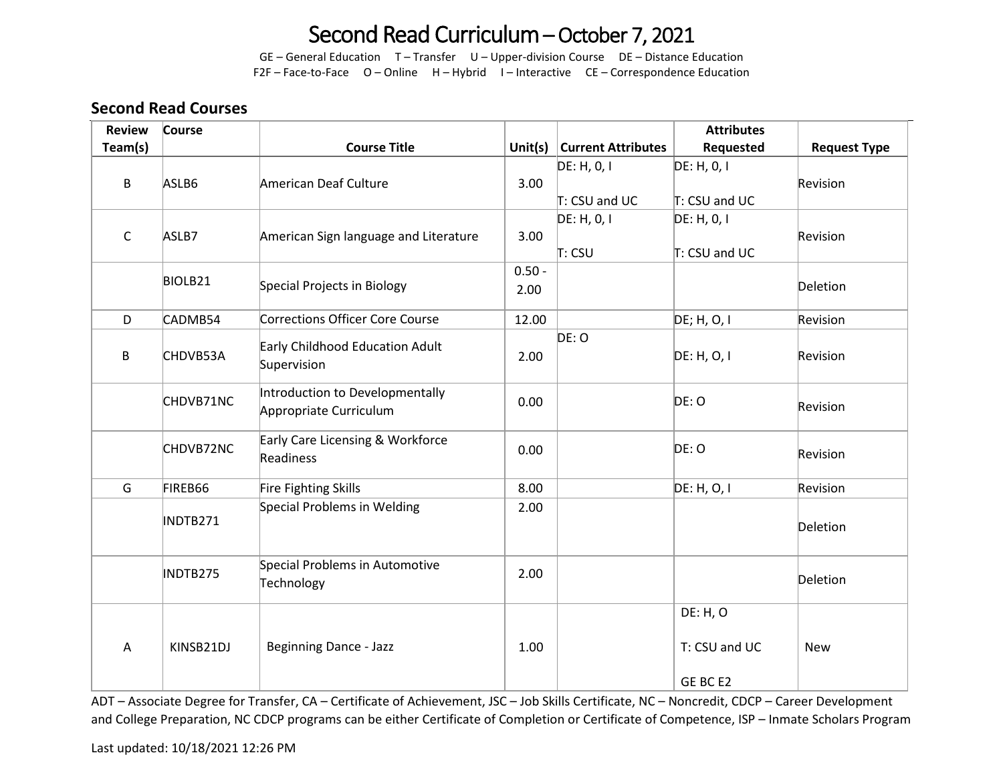# Second Read Curriculum – October 7, 2021

GE – General Education T – Transfer U – Upper-division Course DE – Distance Education F2F – Face-to-Face O – Online H – Hybrid I – Interactive CE – Correspondence Education

### **Second Read Courses**

| <b>Review</b> | Course              |                                               |            |                           | <b>Attributes</b> |                     |
|---------------|---------------------|-----------------------------------------------|------------|---------------------------|-------------------|---------------------|
| Team(s)       |                     | <b>Course Title</b>                           | Unit $(s)$ | <b>Current Attributes</b> | Requested         | <b>Request Type</b> |
|               |                     |                                               |            | DE: H, 0, I               | DE: H, 0, I       |                     |
| B             | ASLB6               | American Deaf Culture                         | 3.00       |                           |                   | Revision            |
|               |                     |                                               |            | $T:$ CSU and UC           | T: CSU and UC     |                     |
|               |                     |                                               |            | DE: H, 0, 1               | DE: H, 0, I       |                     |
| $\mathsf C$   | ASLB7               | American Sign language and Literature         | 3.00       |                           |                   | Revision            |
|               |                     |                                               |            | T: CSU                    | T: CSU and UC     |                     |
|               | BIOLB <sub>21</sub> |                                               | $0.50 -$   |                           |                   |                     |
|               |                     | Special Projects in Biology                   | 2.00       |                           |                   | Deletion            |
| D             | CADMB54             | <b>Corrections Officer Core Course</b>        | 12.00      |                           | DE; H, O, I       | Revision            |
|               |                     |                                               |            | DE: O                     |                   |                     |
| $\mathsf B$   | CHDVB53A            | Early Childhood Education Adult               | 2.00       |                           | DE: H, O, I       | Revision            |
|               |                     | Supervision                                   |            |                           |                   |                     |
|               |                     | Introduction to Developmentally               |            |                           | DE: O             |                     |
|               | CHDVB71NC           | Appropriate Curriculum                        | 0.00       |                           |                   | Revision            |
|               |                     |                                               |            |                           |                   |                     |
|               | CHDVB72NC           | Early Care Licensing & Workforce<br>Readiness | 0.00       |                           | DE: O             | Revision            |
|               |                     |                                               |            |                           |                   |                     |
| G             | FIREB66             | Fire Fighting Skills                          | 8.00       |                           | DE: H, O, I       | Revision            |
|               |                     | Special Problems in Welding                   | 2.00       |                           |                   |                     |
|               | INDTB271            |                                               |            |                           |                   | Deletion            |
|               |                     |                                               |            |                           |                   |                     |
|               |                     | Special Problems in Automotive                |            |                           |                   |                     |
|               | INDTB275            | Technology                                    | 2.00       |                           |                   | Deletion            |
|               |                     |                                               |            |                           |                   |                     |
|               |                     |                                               |            |                           | DE: H, O          |                     |
|               |                     |                                               |            |                           |                   |                     |
| Α             | KINSB21DJ           | <b>Beginning Dance - Jazz</b>                 | 1.00       |                           | T: CSU and UC     | <b>New</b>          |
|               |                     |                                               |            |                           | GE BC E2          |                     |
|               |                     |                                               |            |                           |                   |                     |

ADT – Associate Degree for Transfer, CA – Certificate of Achievement, JSC – Job Skills Certificate, NC – Noncredit, CDCP – Career Development and College Preparation, NC CDCP programs can be either Certificate of Completion or Certificate of Competence, ISP – Inmate Scholars Program